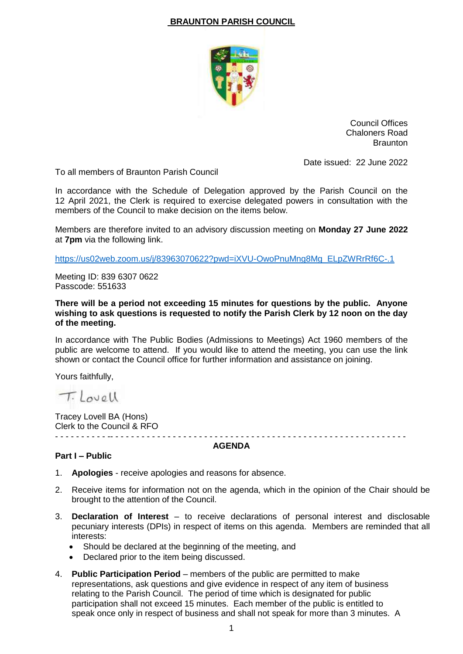## **BRAUNTON PARISH COUNCIL**



Council Offices Chaloners Road **Braunton** 

Date issued: 22 June 2022

To all members of Braunton Parish Council

In accordance with the Schedule of Delegation approved by the Parish Council on the 12 April 2021, the Clerk is required to exercise delegated powers in consultation with the members of the Council to make decision on the items below.

Members are therefore invited to an advisory discussion meeting on **Monday 27 June 2022** at **7pm** via the following link.

[https://us02web.zoom.us/j/83963070622?pwd=iXVU-OwoPnuMng8Mg\\_ELpZWRrRf6C-.1](https://us02web.zoom.us/j/83963070622?pwd=iXVU-OwoPnuMng8Mg_ELpZWRrRf6C-.1)

Meeting ID: 839 6307 0622 Passcode: 551633

**There will be a period not exceeding 15 minutes for questions by the public. Anyone wishing to ask questions is requested to notify the Parish Clerk by 12 noon on the day of the meeting.**

In accordance with The Public Bodies (Admissions to Meetings) Act 1960 members of the public are welcome to attend. If you would like to attend the meeting, you can use the link shown or contact the Council office for further information and assistance on joining.

Yours faithfully,

T. Lovell

Tracey Lovell BA (Hons) Clerk to the Council & RFO - - - - - - - - - - -- - - - - - - - - - - - - - - - - - - - - - - - - - - - - - - - - - - - - - - - - - - - - - - - - - - - - - - - -

## **AGENDA**

## **Part I – Public**

- 1. **Apologies** receive apologies and reasons for absence.
- 2. Receive items for information not on the agenda, which in the opinion of the Chair should be brought to the attention of the Council.
- 3. **Declaration of Interest** to receive declarations of personal interest and disclosable pecuniary interests (DPIs) in respect of items on this agenda. Members are reminded that all interests:
	- Should be declared at the beginning of the meeting, and
	- Declared prior to the item being discussed.
- 4. **Public Participation Period** members of the public are permitted to make representations, ask questions and give evidence in respect of any item of business relating to the Parish Council. The period of time which is designated for public participation shall not exceed 15 minutes. Each member of the public is entitled to speak once only in respect of business and shall not speak for more than 3 minutes. A